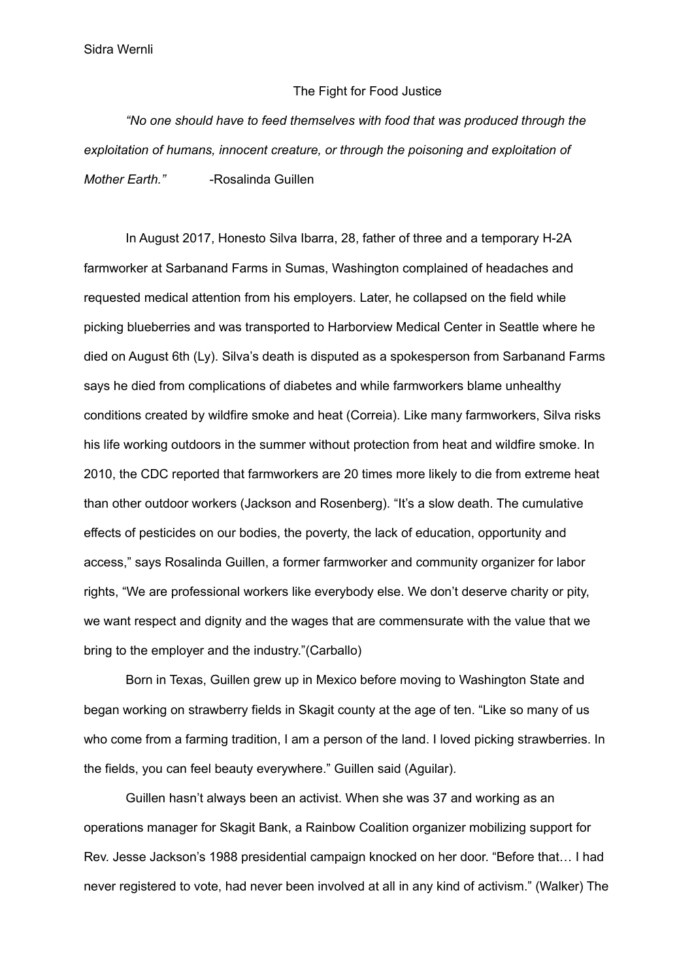Sidra Wernli

## The Fight for Food Justice

*"No one should have to feed themselves with food that was produced through the exploitation of humans, innocent creature, or through the poisoning and exploitation of Mother Earth."* -Rosalinda Guillen

In August 2017, Honesto Silva Ibarra, 28, father of three and a temporary H-2A farmworker at Sarbanand Farms in Sumas, Washington complained of headaches and requested medical attention from his employers. Later, he collapsed on the field while picking blueberries and was transported to Harborview Medical Center in Seattle where he died on August 6th (Ly). Silva's death is disputed as a spokesperson from Sarbanand Farms says he died from complications of diabetes and while farmworkers blame unhealthy conditions created by wildfire smoke and heat (Correia). Like many farmworkers, Silva risks his life working outdoors in the summer without protection from heat and wildfire smoke. In 2010, the CDC reported that farmworkers are 20 times more likely to die from extreme heat than other outdoor workers (Jackson and Rosenberg). "It's a slow death. The cumulative effects of pesticides on our bodies, the poverty, the lack of education, opportunity and access," says Rosalinda Guillen, a former farmworker and community organizer for labor rights, "We are professional workers like everybody else. We don't deserve charity or pity, we want respect and dignity and the wages that are commensurate with the value that we bring to the employer and the industry."(Carballo)

Born in Texas, Guillen grew up in Mexico before moving to Washington State and began working on strawberry fields in Skagit county at the age of ten. "Like so many of us who come from a farming tradition, I am a person of the land. I loved picking strawberries. In the fields, you can feel beauty everywhere." Guillen said (Aguilar).

Guillen hasn't always been an activist. When she was 37 and working as an operations manager for Skagit Bank, a Rainbow Coalition organizer mobilizing support for Rev. Jesse Jackson's 1988 presidential campaign knocked on her door. "Before that… I had never registered to vote, had never been involved at all in any kind of activism." (Walker) The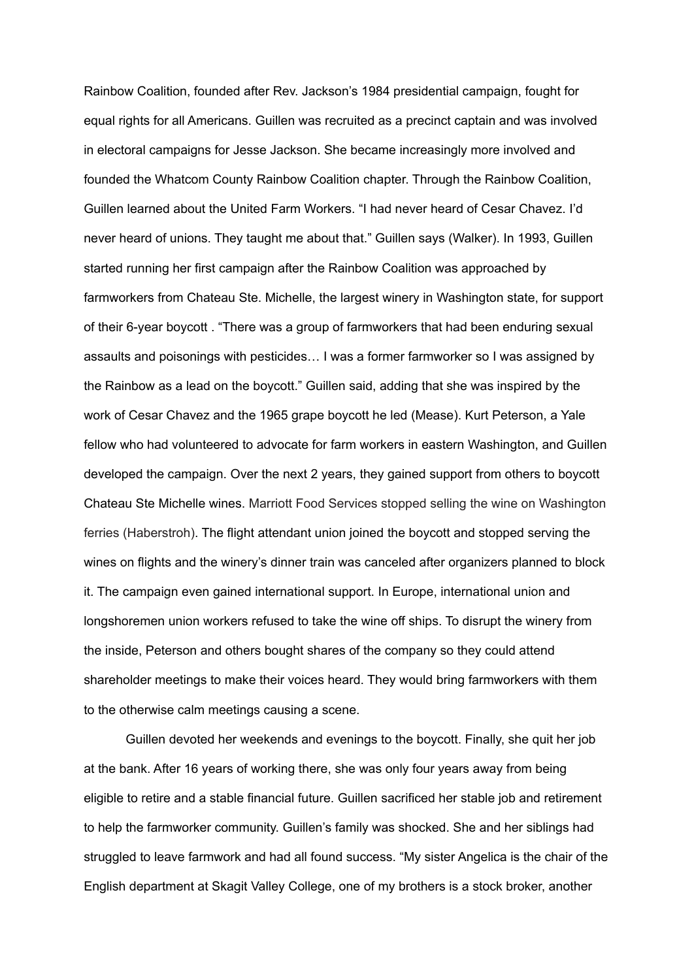Rainbow Coalition, founded after Rev. Jackson's 1984 presidential campaign, fought for equal rights for all Americans. Guillen was recruited as a precinct captain and was involved in electoral campaigns for Jesse Jackson. She became increasingly more involved and founded the Whatcom County Rainbow Coalition chapter. Through the Rainbow Coalition, Guillen learned about the United Farm Workers. "I had never heard of Cesar Chavez. I'd never heard of unions. They taught me about that." Guillen says (Walker). In 1993, Guillen started running her first campaign after the Rainbow Coalition was approached by farmworkers from Chateau Ste. Michelle, the largest winery in Washington state, for support of their 6-year boycott . "There was a group of farmworkers that had been enduring sexual assaults and poisonings with pesticides… I was a former farmworker so I was assigned by the Rainbow as a lead on the boycott." Guillen said, adding that she was inspired by the work of Cesar Chavez and the 1965 grape boycott he led (Mease). Kurt Peterson, a Yale fellow who had volunteered to advocate for farm workers in eastern Washington, and Guillen developed the campaign. Over the next 2 years, they gained support from others to boycott Chateau Ste Michelle wines. Marriott Food Services stopped selling the wine on Washington ferries (Haberstroh). The flight attendant union joined the boycott and stopped serving the wines on flights and the winery's dinner train was canceled after organizers planned to block it. The campaign even gained international support. In Europe, international union and longshoremen union workers refused to take the wine off ships. To disrupt the winery from the inside, Peterson and others bought shares of the company so they could attend shareholder meetings to make their voices heard. They would bring farmworkers with them to the otherwise calm meetings causing a scene.

Guillen devoted her weekends and evenings to the boycott. Finally, she quit her job at the bank. After 16 years of working there, she was only four years away from being eligible to retire and a stable financial future. Guillen sacrificed her stable job and retirement to help the farmworker community. Guillen's family was shocked. She and her siblings had struggled to leave farmwork and had all found success. "My sister Angelica is the chair of the English department at Skagit Valley College, one of my brothers is a stock broker, another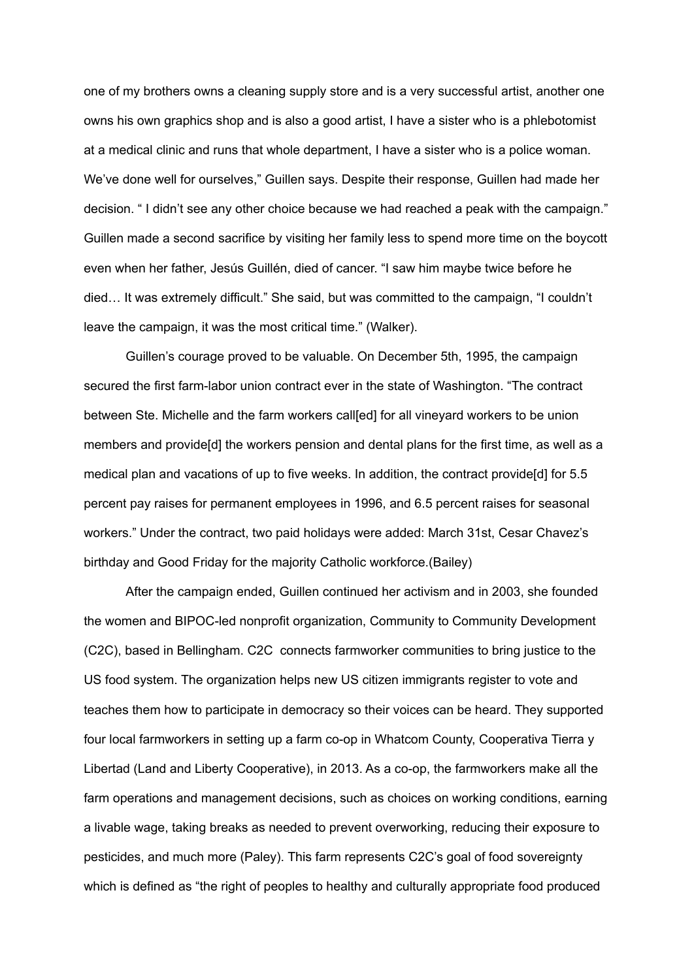one of my brothers owns a cleaning supply store and is a very successful artist, another one owns his own graphics shop and is also a good artist, I have a sister who is a phlebotomist at a medical clinic and runs that whole department, I have a sister who is a police woman. We've done well for ourselves," Guillen says. Despite their response, Guillen had made her decision. " I didn't see any other choice because we had reached a peak with the campaign." Guillen made a second sacrifice by visiting her family less to spend more time on the boycott even when her father, Jesús Guillén, died of cancer. "I saw him maybe twice before he died… It was extremely difficult." She said, but was committed to the campaign, "I couldn't leave the campaign, it was the most critical time." (Walker).

Guillen's courage proved to be valuable. On December 5th, 1995, the campaign secured the first farm-labor union contract ever in the state of Washington. "The contract between Ste. Michelle and the farm workers call[ed] for all vineyard workers to be union members and provide[d] the workers pension and dental plans for the first time, as well as a medical plan and vacations of up to five weeks. In addition, the contract provide[d] for 5.5 percent pay raises for permanent employees in 1996, and 6.5 percent raises for seasonal workers." Under the contract, two paid holidays were added: March 31st, Cesar Chavez's birthday and Good Friday for the majority Catholic workforce.(Bailey)

After the campaign ended, Guillen continued her activism and in 2003, she founded the women and BIPOC-led nonprofit organization, Community to Community Development (C2C), based in Bellingham. C2C connects farmworker communities to bring justice to the US food system. The organization helps new US citizen immigrants register to vote and teaches them how to participate in democracy so their voices can be heard. They supported four local farmworkers in setting up a farm co-op in Whatcom County, Cooperativa Tierra y Libertad (Land and Liberty Cooperative), in 2013. As a co-op, the farmworkers make all the farm operations and management decisions, such as choices on working conditions, earning a livable wage, taking breaks as needed to prevent overworking, reducing their exposure to pesticides, and much more (Paley). This farm represents C2C's goal of food sovereignty which is defined as "the right of peoples to healthy and culturally appropriate food produced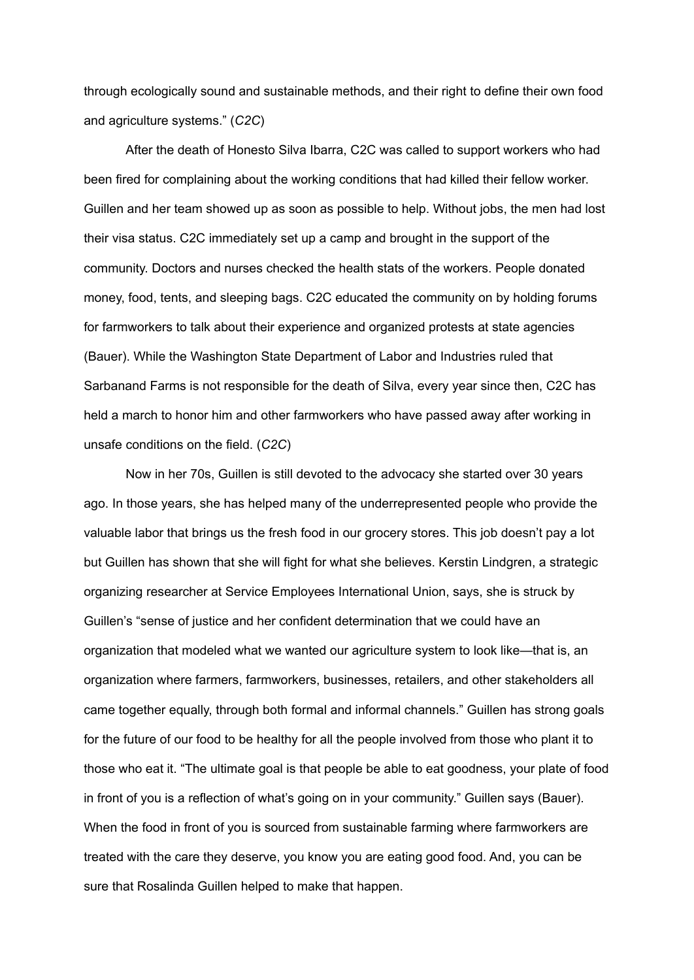through ecologically sound and sustainable methods, and their right to define their own food and agriculture systems." (*C2C*)

After the death of Honesto Silva Ibarra, C2C was called to support workers who had been fired for complaining about the working conditions that had killed their fellow worker. Guillen and her team showed up as soon as possible to help. Without jobs, the men had lost their visa status. C2C immediately set up a camp and brought in the support of the community. Doctors and nurses checked the health stats of the workers. People donated money, food, tents, and sleeping bags. C2C educated the community on by holding forums for farmworkers to talk about their experience and organized protests at state agencies (Bauer). While the Washington State Department of Labor and Industries ruled that Sarbanand Farms is not responsible for the death of Silva, every year since then, C2C has held a march to honor him and other farmworkers who have passed away after working in unsafe conditions on the field. (*C2C*)

Now in her 70s, Guillen is still devoted to the advocacy she started over 30 years ago. In those years, she has helped many of the underrepresented people who provide the valuable labor that brings us the fresh food in our grocery stores. This job doesn't pay a lot but Guillen has shown that she will fight for what she believes. Kerstin Lindgren, a strategic organizing researcher at Service Employees International Union, says, she is struck by Guillen's "sense of justice and her confident determination that we could have an organization that modeled what we wanted our agriculture system to look like—that is, an organization where farmers, farmworkers, businesses, retailers, and other stakeholders all came together equally, through both formal and informal channels." Guillen has strong goals for the future of our food to be healthy for all the people involved from those who plant it to those who eat it. "The ultimate goal is that people be able to eat goodness, your plate of food in front of you is a reflection of what's going on in your community." Guillen says (Bauer). When the food in front of you is sourced from sustainable farming where farmworkers are treated with the care they deserve, you know you are eating good food. And, you can be sure that Rosalinda Guillen helped to make that happen.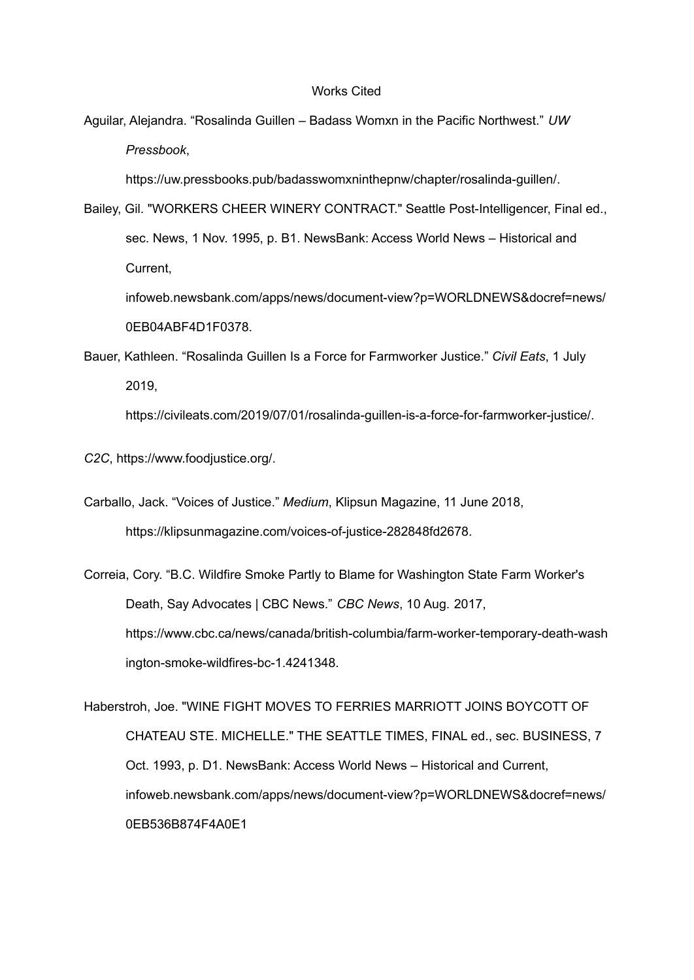## Works Cited

Aguilar, Alejandra. "Rosalinda Guillen – Badass Womxn in the Pacific Northwest." *UW Pressbook*,

https://uw.pressbooks.pub/badasswomxninthepnw/chapter/rosalinda-guillen/.

Bailey, Gil. "WORKERS CHEER WINERY CONTRACT." Seattle Post-Intelligencer, Final ed., sec. News, 1 Nov. 1995, p. B1. NewsBank: Access World News – Historical and Current,

infoweb.newsbank.com/apps/news/document-view?p=WORLDNEWS&docref=news/ 0EB04ABF4D1F0378.

Bauer, Kathleen. "Rosalinda Guillen Is a Force for Farmworker Justice." *Civil Eats*, 1 July 2019,

https://civileats.com/2019/07/01/rosalinda-guillen-is-a-force-for-farmworker-justice/.

*C2C*, https://www.foodjustice.org/.

Carballo, Jack. "Voices of Justice." *Medium*, Klipsun Magazine, 11 June 2018, https://klipsunmagazine.com/voices-of-justice-282848fd2678.

Correia, Cory. "B.C. Wildfire Smoke Partly to Blame for Washington State Farm Worker's Death, Say Advocates | CBC News." *CBC News*, 10 Aug. 2017, https://www.cbc.ca/news/canada/british-columbia/farm-worker-temporary-death-wash ington-smoke-wildfires-bc-1.4241348.

Haberstroh, Joe. "WINE FIGHT MOVES TO FERRIES MARRIOTT JOINS BOYCOTT OF CHATEAU STE. MICHELLE." THE SEATTLE TIMES, FINAL ed., sec. BUSINESS, 7 Oct. 1993, p. D1. NewsBank: Access World News – Historical and Current, infoweb.newsbank.com/apps/news/document-view?p=WORLDNEWS&docref=news/ 0EB536B874F4A0E1